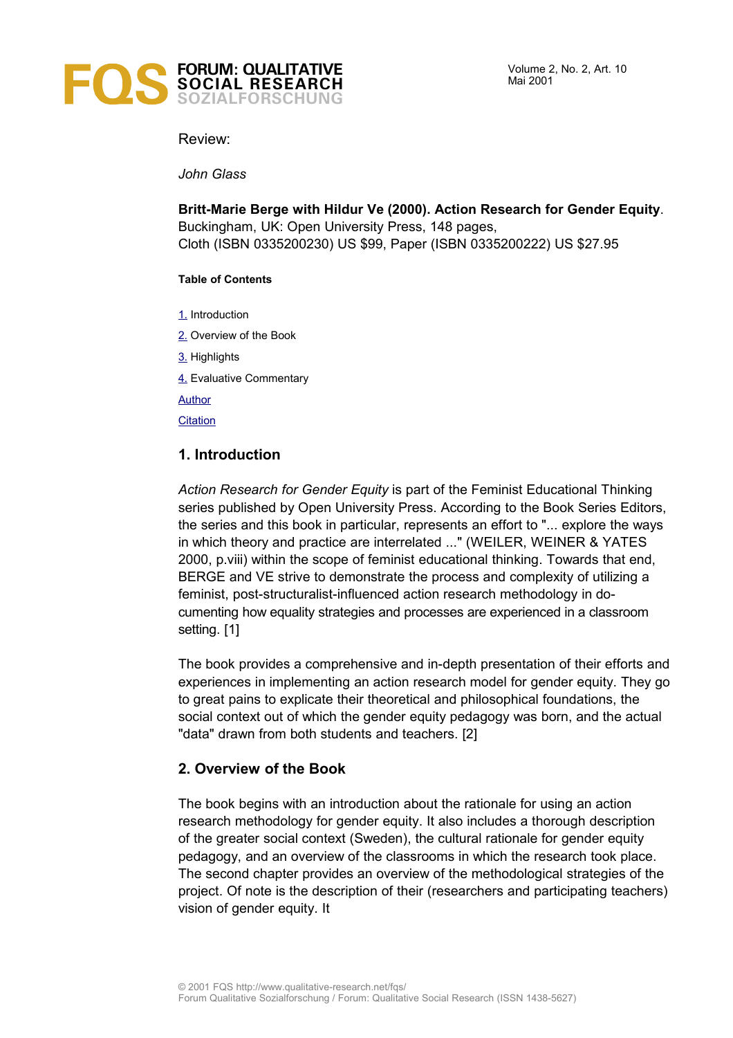

Review:

*John Glass*

**Britt-Marie Berge with Hildur Ve (2000). Action Research for Gender Equity**. Buckingham, UK: Open University Press, 148 pages, Cloth (ISBN 0335200230) US \$99, Paper (ISBN 0335200222) US \$27.95

#### **Table of Contents**

- [1.](#page-0-0) Introduction
- [2.](#page-0-1) Overview of the Book
- [3.](#page-1-0) Highlights
- [4.](#page-2-0) Evaluative Commentary

**[Author](#page-3-1)** 

**[Citation](#page-3-0)** 

# <span id="page-0-0"></span>**1. Introduction**

*Action Research for Gender Equity* is part of the Feminist Educational Thinking series published by Open University Press. According to the Book Series Editors, the series and this book in particular, represents an effort to "... explore the ways in which theory and practice are interrelated ..." (WEILER, WEINER & YATES 2000, p.viii) within the scope of feminist educational thinking. Towards that end, BERGE and VE strive to demonstrate the process and complexity of utilizing a feminist, post-structuralist-influenced action research methodology in documenting how equality strategies and processes are experienced in a classroom setting. [1]

The book provides a comprehensive and in-depth presentation of their efforts and experiences in implementing an action research model for gender equity. They go to great pains to explicate their theoretical and philosophical foundations, the social context out of which the gender equity pedagogy was born, and the actual "data" drawn from both students and teachers. [2]

# <span id="page-0-1"></span>**2. Overview of the Book**

The book begins with an introduction about the rationale for using an action research methodology for gender equity. It also includes a thorough description of the greater social context (Sweden), the cultural rationale for gender equity pedagogy, and an overview of the classrooms in which the research took place. The second chapter provides an overview of the methodological strategies of the project. Of note is the description of their (researchers and participating teachers) vision of gender equity. It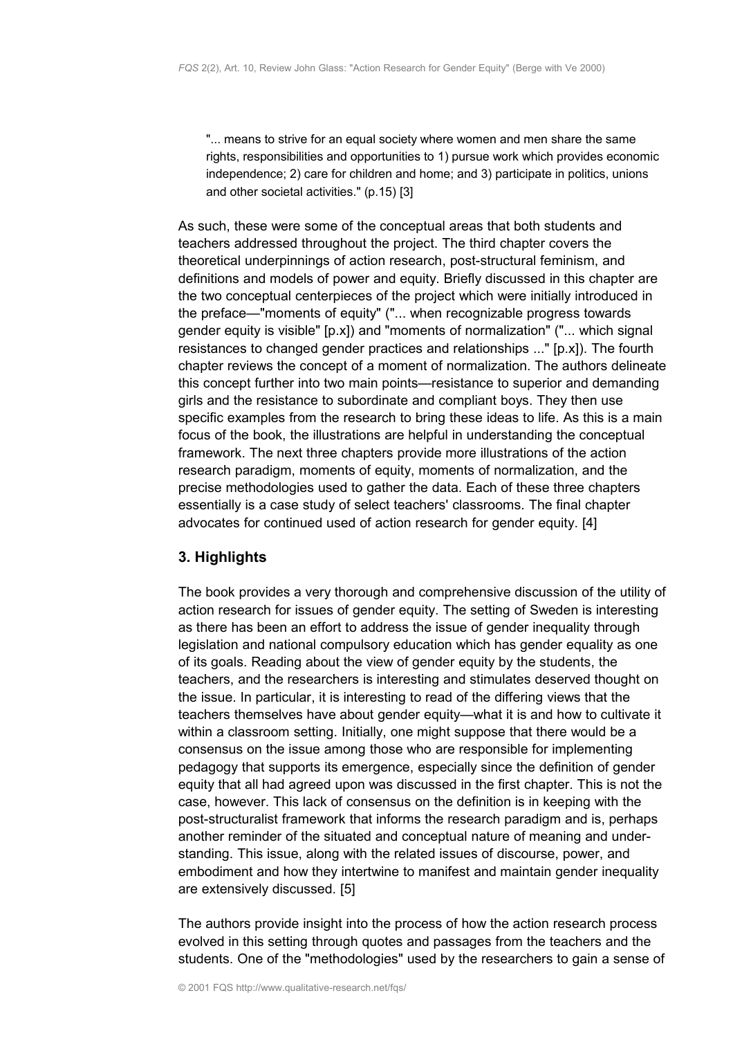"... means to strive for an equal society where women and men share the same rights, responsibilities and opportunities to 1) pursue work which provides economic independence; 2) care for children and home; and 3) participate in politics, unions and other societal activities." (p.15) [3]

As such, these were some of the conceptual areas that both students and teachers addressed throughout the project. The third chapter covers the theoretical underpinnings of action research, post-structural feminism, and definitions and models of power and equity. Briefly discussed in this chapter are the two conceptual centerpieces of the project which were initially introduced in the preface—"moments of equity" ("... when recognizable progress towards gender equity is visible" [p.x]) and "moments of normalization" ("... which signal resistances to changed gender practices and relationships ..." [p.x]). The fourth chapter reviews the concept of a moment of normalization. The authors delineate this concept further into two main points—resistance to superior and demanding girls and the resistance to subordinate and compliant boys. They then use specific examples from the research to bring these ideas to life. As this is a main focus of the book, the illustrations are helpful in understanding the conceptual framework. The next three chapters provide more illustrations of the action research paradigm, moments of equity, moments of normalization, and the precise methodologies used to gather the data. Each of these three chapters essentially is a case study of select teachers' classrooms. The final chapter advocates for continued used of action research for gender equity. [4]

### <span id="page-1-0"></span>**3. Highlights**

The book provides a very thorough and comprehensive discussion of the utility of action research for issues of gender equity. The setting of Sweden is interesting as there has been an effort to address the issue of gender inequality through legislation and national compulsory education which has gender equality as one of its goals. Reading about the view of gender equity by the students, the teachers, and the researchers is interesting and stimulates deserved thought on the issue. In particular, it is interesting to read of the differing views that the teachers themselves have about gender equity—what it is and how to cultivate it within a classroom setting. Initially, one might suppose that there would be a consensus on the issue among those who are responsible for implementing pedagogy that supports its emergence, especially since the definition of gender equity that all had agreed upon was discussed in the first chapter. This is not the case, however. This lack of consensus on the definition is in keeping with the post-structuralist framework that informs the research paradigm and is, perhaps another reminder of the situated and conceptual nature of meaning and understanding. This issue, along with the related issues of discourse, power, and embodiment and how they intertwine to manifest and maintain gender inequality are extensively discussed. [5]

The authors provide insight into the process of how the action research process evolved in this setting through quotes and passages from the teachers and the students. One of the "methodologies" used by the researchers to gain a sense of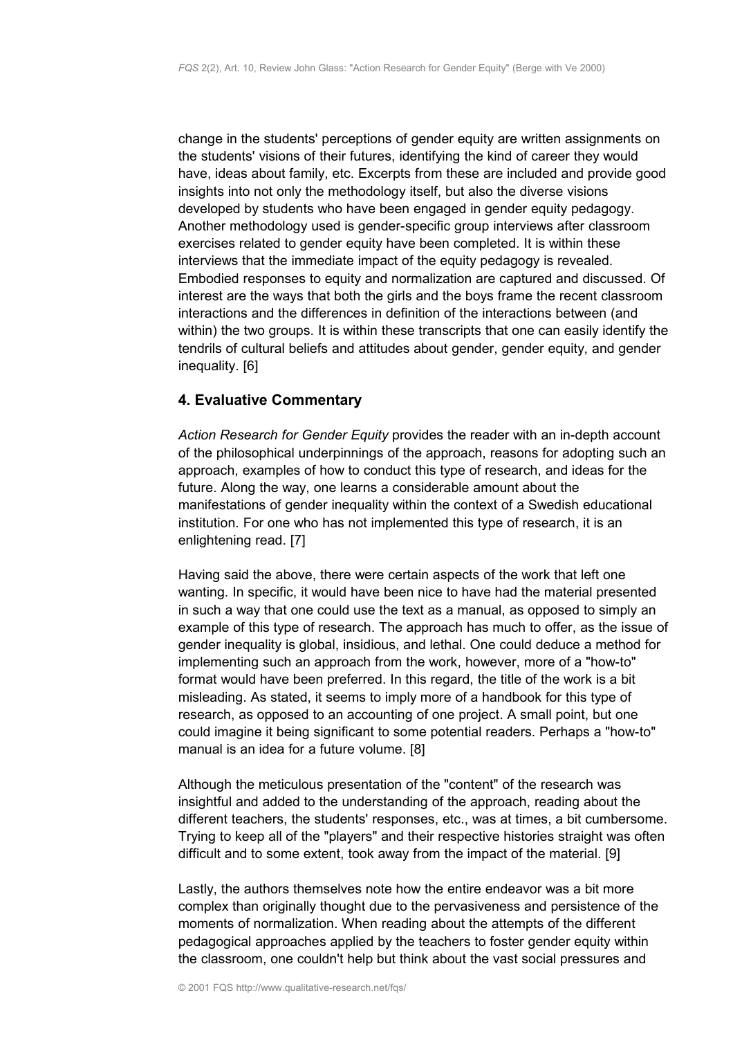change in the students' perceptions of gender equity are written assignments on the students' visions of their futures, identifying the kind of career they would have, ideas about family, etc. Excerpts from these are included and provide good insights into not only the methodology itself, but also the diverse visions developed by students who have been engaged in gender equity pedagogy. Another methodology used is gender-specific group interviews after classroom exercises related to gender equity have been completed. It is within these interviews that the immediate impact of the equity pedagogy is revealed. Embodied responses to equity and normalization are captured and discussed. Of interest are the ways that both the girls and the boys frame the recent classroom interactions and the differences in definition of the interactions between (and within) the two groups. It is within these transcripts that one can easily identify the tendrils of cultural beliefs and attitudes about gender, gender equity, and gender inequality. [6]

### <span id="page-2-0"></span>**4. Evaluative Commentary**

*Action Research for Gender Equity* provides the reader with an in-depth account of the philosophical underpinnings of the approach, reasons for adopting such an approach, examples of how to conduct this type of research, and ideas for the future. Along the way, one learns a considerable amount about the manifestations of gender inequality within the context of a Swedish educational institution. For one who has not implemented this type of research, it is an enlightening read. [7]

Having said the above, there were certain aspects of the work that left one wanting. In specific, it would have been nice to have had the material presented in such a way that one could use the text as a manual, as opposed to simply an example of this type of research. The approach has much to offer, as the issue of gender inequality is global, insidious, and lethal. One could deduce a method for implementing such an approach from the work, however, more of a "how-to" format would have been preferred. In this regard, the title of the work is a bit misleading. As stated, it seems to imply more of a handbook for this type of research, as opposed to an accounting of one project. A small point, but one could imagine it being significant to some potential readers. Perhaps a "how-to" manual is an idea for a future volume. [8]

Although the meticulous presentation of the "content" of the research was insightful and added to the understanding of the approach, reading about the different teachers, the students' responses, etc., was at times, a bit cumbersome. Trying to keep all of the "players" and their respective histories straight was often difficult and to some extent, took away from the impact of the material. [9]

Lastly, the authors themselves note how the entire endeavor was a bit more complex than originally thought due to the pervasiveness and persistence of the moments of normalization. When reading about the attempts of the different pedagogical approaches applied by the teachers to foster gender equity within the classroom, one couldn't help but think about the vast social pressures and